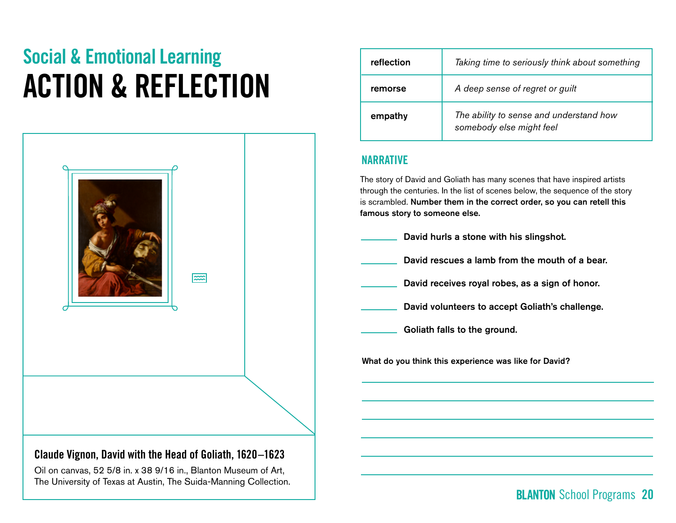# Social & Emotional Learning ACTION & REFLECTION



## Claude Vignon, **David with the Head of Goliath,** 1620–1623

Oil on canvas, 52 5/8 in. x 38 9/16 in., Blanton Museum of Art, The University of Texas at Austin, The Suida-Manning Collection.

| reflection | Taking time to seriously think about something                      |
|------------|---------------------------------------------------------------------|
| remorse    | A deep sense of regret or guilt                                     |
| empathy    | The ability to sense and understand how<br>somebody else might feel |

#### NARRATIVE

The story of David and Goliath has many scenes that have inspired artists through the centuries. In the list of scenes below, the sequence of the story is scrambled. Number them in the correct order, so you can retell this famous story to someone else.

David hurls a stone with his slingshot. David rescues a lamb from the mouth of a bear. David receives royal robes, as a sign of honor. David volunteers to accept Goliath's challenge. Goliath falls to the ground.

What do you think this experience was like for David?

## **BLANTON** School Programs 20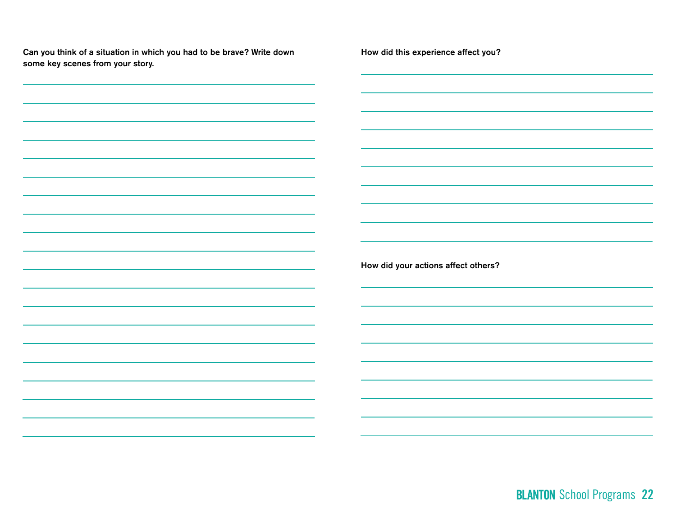Can you think of a situation in which you had to be brave? Write down some key scenes from your story.

How did this experience affect you?

How did your actions affect others?